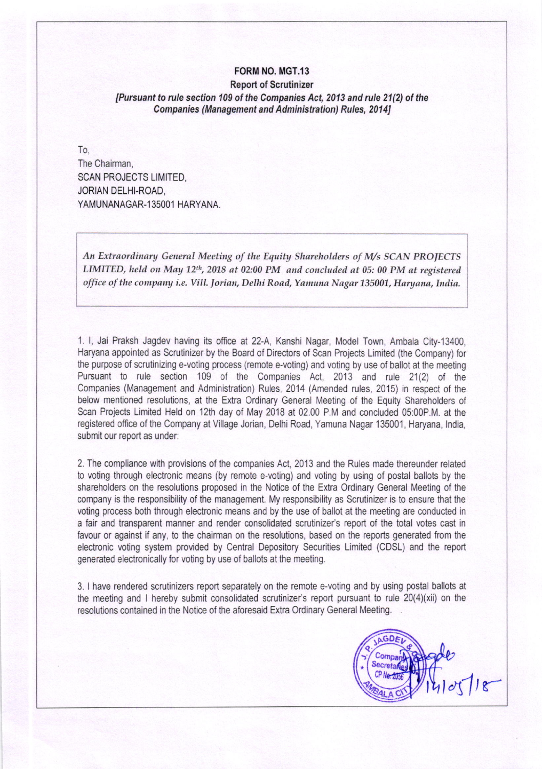# FORM NO. MGT.13

#### Report of Scrutinizer [Pursuant to rule section 109 of the Companies Act, 2013 and rule 21(2) of the Companies (Management and Administration) Rules, 20141

To, The Chairman, SCAN PROJECTS LIMITED, JORIAN DELHI-ROAD, YAMUNANAGAR-135001 HARYANA.

An Extraordinary General Meeting of the Equity Shareholders of M/s SCAN PROJECTS LIMITED, held on May  $12<sup>th</sup>$ , 2018 at 02:00 PM and concluded at 05: 00 PM at registered office of the company i.e. Vill. Jorian, Delhi Road, Yamuna Nagar 135001, Haryana, India.

1. l, Jai Praksh Jagdev having its oflice at 22-A, Kanshi Nagar, Model Town, Ambala City-13400, Haryana appointed as Scrutinizer by the Board of Directors of Scan Projects Limited (the Company) for the purpose of scrutinizing e-voting process (remote e-voting) and voting by use of ballot at the meeting Pursuant to rule section 109 of the Companies Act, 2013 and rule 21(2) of the Companies (Management and Administration) Rules, 2014 (Amended rules, 2015) in respect of the below mentioned resolutions, at the Extra Ordinary General Meeting of the Equity Shareholders of Scan Projects Limited Held on 12th day of May 2018 at 02.00 P.M and concluded 05:00P.M. at the registered office of the Company at Village Jorian, Delhi Road, Yamuna Nagar 135001, Haryana, India, submit our report as under:

2. The compliance with provisions of the companies Act, 2013 and the Rules made thereunder related to voting through electronic means (by remote e-votrng) and voting by using of postal ballots by the shareholders on the resolutions proposed in the Notice of the Extra Ordinary General Meeting of the company is the responsibility of the management. My responsibility as Scrutinizer is to ensure that the voting process both through electronic means and by the use of ballot at the meeting are conducted in a fair and transparent manner and render consolidated scrutinizer's report of the total voles cast in favour or against if any, to the chairman on the resolutions, based on the reports generated from the electronic voting system provided by Central Depository Securities Limited (CDSL) and the report generated electronically for voting by use of ballots at the meeting.

3. I have rendered scrutinizers report separately on the remote e-voting and by using postal ballots at the meeting and I hereby submit consolidated scrutinizer's report pursuant to rule 20(4)(xii) on the resolutions contained in the Notice of the aforesaid Extra Ordinary General Meeting.